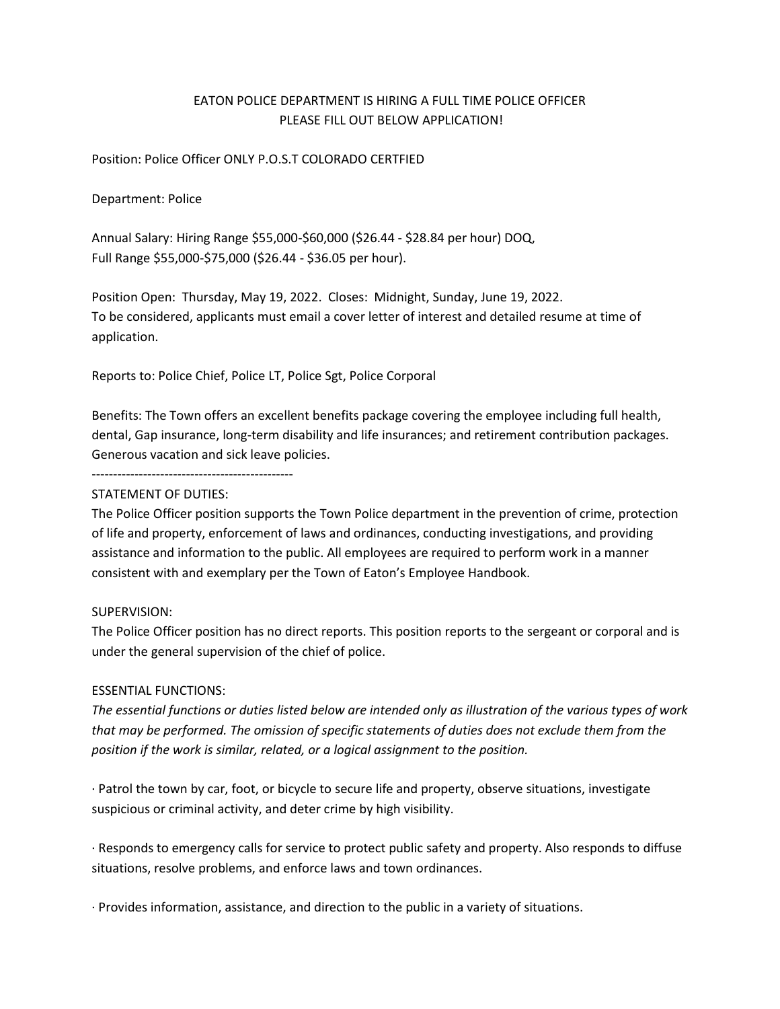# EATON POLICE DEPARTMENT IS HIRING A FULL TIME POLICE OFFICER PLEASE FILL OUT BELOW APPLICATION!

#### Position: Police Officer ONLY P.O.S.T COLORADO CERTFIED

#### Department: Police

Annual Salary: Hiring Range \$55,000-\$60,000 (\$26.44 - \$28.84 per hour) DOQ, Full Range \$55,000-\$75,000 (\$26.44 - \$36.05 per hour).

Position Open: Thursday, May 19, 2022. Closes: Midnight, Sunday, June 19, 2022. To be considered, applicants must email a cover letter of interest and detailed resume at time of application.

Reports to: Police Chief, Police LT, Police Sgt, Police Corporal

Benefits: The Town offers an excellent benefits package covering the employee including full health, dental, Gap insurance, long-term disability and life insurances; and retirement contribution packages. Generous vacation and sick leave policies.

-----------------------------------------------

#### STATEMENT OF DUTIES:

The Police Officer position supports the Town Police department in the prevention of crime, protection of life and property, enforcement of laws and ordinances, conducting investigations, and providing assistance and information to the public. All employees are required to perform work in a manner consistent with and exemplary per the Town of Eaton's Employee Handbook.

#### SUPERVISION:

The Police Officer position has no direct reports. This position reports to the sergeant or corporal and is under the general supervision of the chief of police.

#### ESSENTIAL FUNCTIONS:

*The essential functions or duties listed below are intended only as illustration of the various types of work that may be performed. The omission of specific statements of duties does not exclude them from the position if the work is similar, related, or a logical assignment to the position.*

· Patrol the town by car, foot, or bicycle to secure life and property, observe situations, investigate suspicious or criminal activity, and deter crime by high visibility.

· Responds to emergency calls for service to protect public safety and property. Also responds to diffuse situations, resolve problems, and enforce laws and town ordinances.

· Provides information, assistance, and direction to the public in a variety of situations.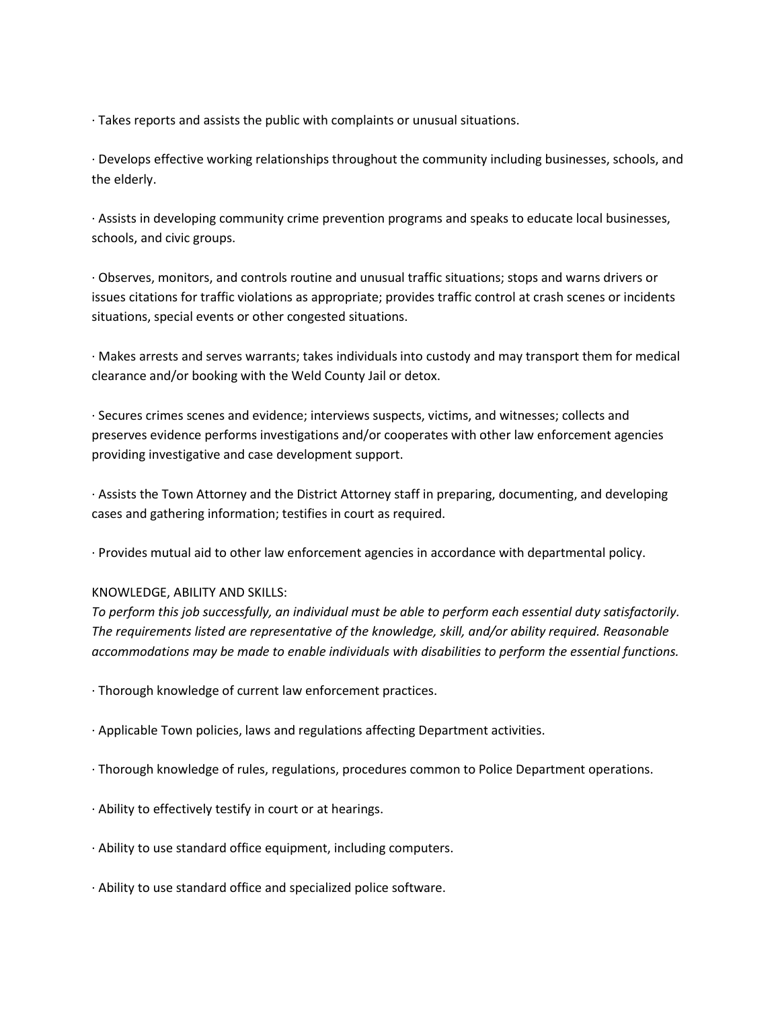· Takes reports and assists the public with complaints or unusual situations.

· Develops effective working relationships throughout the community including businesses, schools, and the elderly.

· Assists in developing community crime prevention programs and speaks to educate local businesses, schools, and civic groups.

· Observes, monitors, and controls routine and unusual traffic situations; stops and warns drivers or issues citations for traffic violations as appropriate; provides traffic control at crash scenes or incidents situations, special events or other congested situations.

· Makes arrests and serves warrants; takes individuals into custody and may transport them for medical clearance and/or booking with the Weld County Jail or detox.

· Secures crimes scenes and evidence; interviews suspects, victims, and witnesses; collects and preserves evidence performs investigations and/or cooperates with other law enforcement agencies providing investigative and case development support.

· Assists the Town Attorney and the District Attorney staff in preparing, documenting, and developing cases and gathering information; testifies in court as required.

· Provides mutual aid to other law enforcement agencies in accordance with departmental policy.

## KNOWLEDGE, ABILITY AND SKILLS:

*To perform this job successfully, an individual must be able to perform each essential duty satisfactorily. The requirements listed are representative of the knowledge, skill, and/or ability required. Reasonable accommodations may be made to enable individuals with disabilities to perform the essential functions.*

- · Thorough knowledge of current law enforcement practices.
- · Applicable Town policies, laws and regulations affecting Department activities.
- · Thorough knowledge of rules, regulations, procedures common to Police Department operations.
- · Ability to effectively testify in court or at hearings.
- · Ability to use standard office equipment, including computers.
- · Ability to use standard office and specialized police software.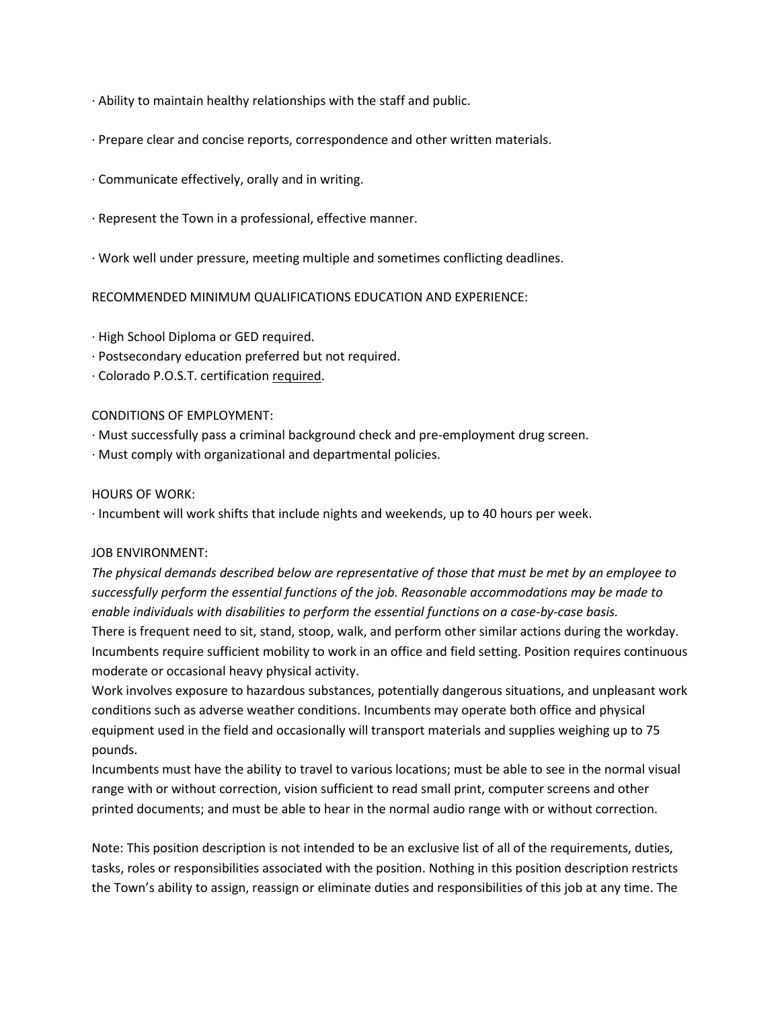- · Ability to maintain healthy relationships with the staff and public.
- · Prepare clear and concise reports, correspondence and other written materials.
- · Communicate effectively, orally and in writing.
- · Represent the Town in a professional, effective manner.
- · Work well under pressure, meeting multiple and sometimes conflicting deadlines.

## RECOMMENDED MINIMUM QUALIFICATIONS EDUCATION AND EXPERIENCE:

- · High School Diploma or GED required.
- · Postsecondary education preferred but not required.
- · Colorado P.O.S.T. certification required.

## CONDITIONS OF EMPLOYMENT:

- · Must successfully pass a criminal background check and pre-employment drug screen.
- · Must comply with organizational and departmental policies.

## HOURS OF WORK:

· Incumbent will work shifts that include nights and weekends, up to 40 hours per week.

## JOB ENVIRONMENT:

*The physical demands described below are representative of those that must be met by an employee to successfully perform the essential functions of the job. Reasonable accommodations may be made to enable individuals with disabilities to perform the essential functions on a case-by-case basis.* There is frequent need to sit, stand, stoop, walk, and perform other similar actions during the workday. Incumbents require sufficient mobility to work in an office and field setting. Position requires continuous moderate or occasional heavy physical activity.

Work involves exposure to hazardous substances, potentially dangerous situations, and unpleasant work conditions such as adverse weather conditions. Incumbents may operate both office and physical equipment used in the field and occasionally will transport materials and supplies weighing up to 75 pounds.

Incumbents must have the ability to travel to various locations; must be able to see in the normal visual range with or without correction, vision sufficient to read small print, computer screens and other printed documents; and must be able to hear in the normal audio range with or without correction.

Note: This position description is not intended to be an exclusive list of all of the requirements, duties, tasks, roles or responsibilities associated with the position. Nothing in this position description restricts the Town's ability to assign, reassign or eliminate duties and responsibilities of this job at any time. The